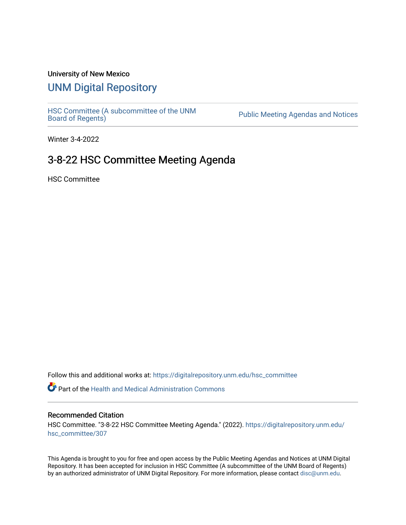### University of New Mexico

# [UNM Digital Repository](https://digitalrepository.unm.edu/)

HSC Committee (A subcommittee of the UNM<br>Board of Regents)

Public Meeting Agendas and Notices

Winter 3-4-2022

## 3-8-22 HSC Committee Meeting Agenda

HSC Committee

Follow this and additional works at: [https://digitalrepository.unm.edu/hsc\\_committee](https://digitalrepository.unm.edu/hsc_committee?utm_source=digitalrepository.unm.edu%2Fhsc_committee%2F307&utm_medium=PDF&utm_campaign=PDFCoverPages) 

Part of the [Health and Medical Administration Commons](http://network.bepress.com/hgg/discipline/663?utm_source=digitalrepository.unm.edu%2Fhsc_committee%2F307&utm_medium=PDF&utm_campaign=PDFCoverPages)

#### Recommended Citation

HSC Committee. "3-8-22 HSC Committee Meeting Agenda." (2022). [https://digitalrepository.unm.edu/](https://digitalrepository.unm.edu/hsc_committee/307?utm_source=digitalrepository.unm.edu%2Fhsc_committee%2F307&utm_medium=PDF&utm_campaign=PDFCoverPages) [hsc\\_committee/307](https://digitalrepository.unm.edu/hsc_committee/307?utm_source=digitalrepository.unm.edu%2Fhsc_committee%2F307&utm_medium=PDF&utm_campaign=PDFCoverPages)

This Agenda is brought to you for free and open access by the Public Meeting Agendas and Notices at UNM Digital Repository. It has been accepted for inclusion in HSC Committee (A subcommittee of the UNM Board of Regents) by an authorized administrator of UNM Digital Repository. For more information, please contact [disc@unm.edu.](mailto:disc@unm.edu)